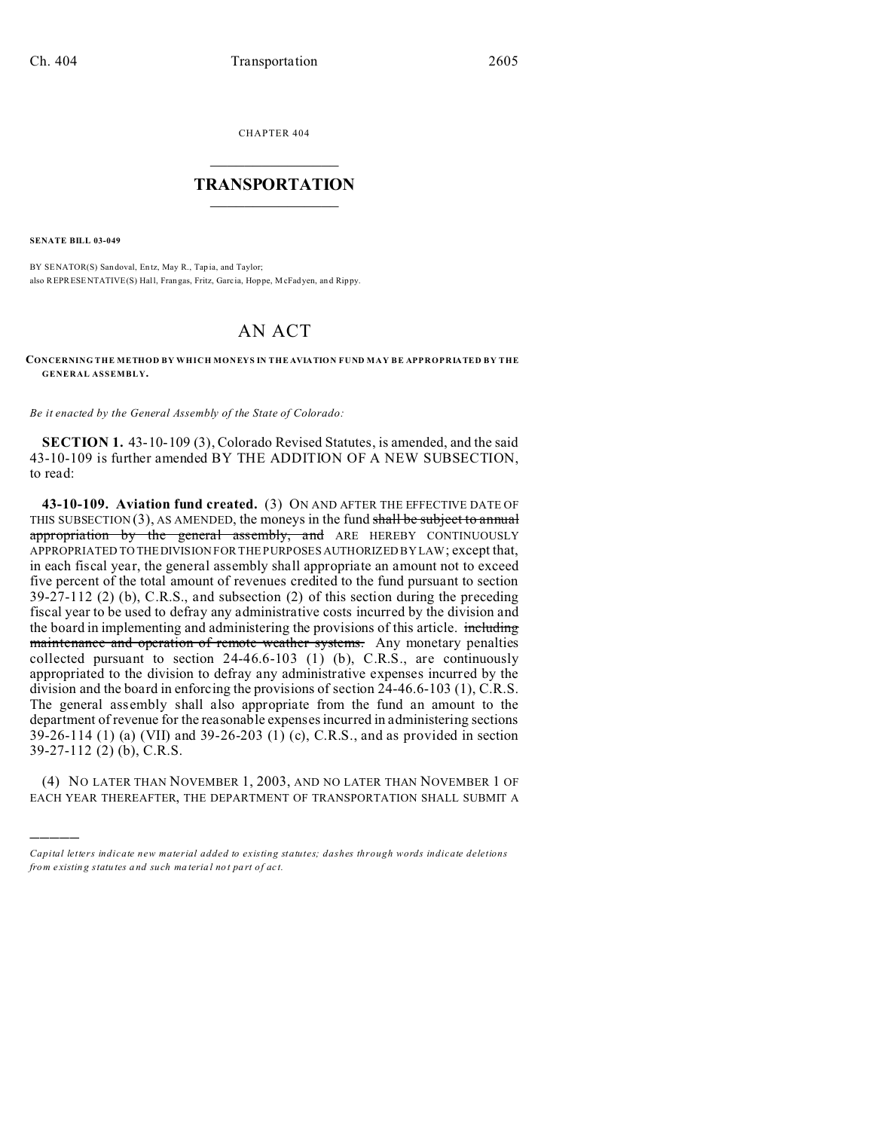CHAPTER 404  $\overline{\phantom{a}}$  , where  $\overline{\phantom{a}}$ 

## **TRANSPORTATION**  $\_$   $\_$   $\_$   $\_$   $\_$   $\_$   $\_$   $\_$   $\_$

**SENATE BILL 03-049**

)))))

BY SENATOR(S) San doval, En tz, May R., Tap ia, and Taylor; also REPRESENTATIVE(S) Hall, Fran gas, Fritz, Garc ia, Hop pe, McFadyen, an d Rippy.

## AN ACT

## **CONCERNING THE METHOD BY WHICH MONEYS IN THE AVIATION FUND MAY BE APPROPRIATED BY THE GENERAL ASSEMBLY.**

*Be it enacted by the General Assembly of the State of Colorado:*

**SECTION 1.** 43-10-109 (3), Colorado Revised Statutes, is amended, and the said 43-10-109 is further amended BY THE ADDITION OF A NEW SUBSECTION, to read:

**43-10-109. Aviation fund created.** (3) ON AND AFTER THE EFFECTIVE DATE OF THIS SUBSECTION  $(3)$ , AS AMENDED, the moneys in the fund shall be subject to annual appropriation by the general assembly, and ARE HEREBY CONTINUOUSLY APPROPRIATED TO THE DIVISION FOR THE PURPOSES AUTHORIZED BY LAW; except that, in each fiscal year, the general assembly shall appropriate an amount not to exceed five percent of the total amount of revenues credited to the fund pursuant to section 39-27-112 (2) (b), C.R.S., and subsection (2) of this section during the preceding fiscal year to be used to defray any administrative costs incurred by the division and the board in implementing and administering the provisions of this article. including maintenance and operation of remote weather systems. Any monetary penalties collected pursuant to section  $24-46.6-103$  (1) (b), C.R.S., are continuously appropriated to the division to defray any administrative expenses incurred by the division and the board in enforcing the provisions of section 24-46.6-103 (1), C.R.S. The general assembly shall also appropriate from the fund an amount to the department of revenue for the reasonable expenses incurred in administering sections 39-26-114 (1) (a) (VII) and 39-26-203 (1) (c), C.R.S., and as provided in section 39-27-112 (2) (b), C.R.S.

(4) NO LATER THAN NOVEMBER 1, 2003, AND NO LATER THAN NOVEMBER 1 OF EACH YEAR THEREAFTER, THE DEPARTMENT OF TRANSPORTATION SHALL SUBMIT A

*Capital letters indicate new material added to existing statutes; dashes through words indicate deletions from e xistin g statu tes a nd such ma teria l no t pa rt of ac t.*